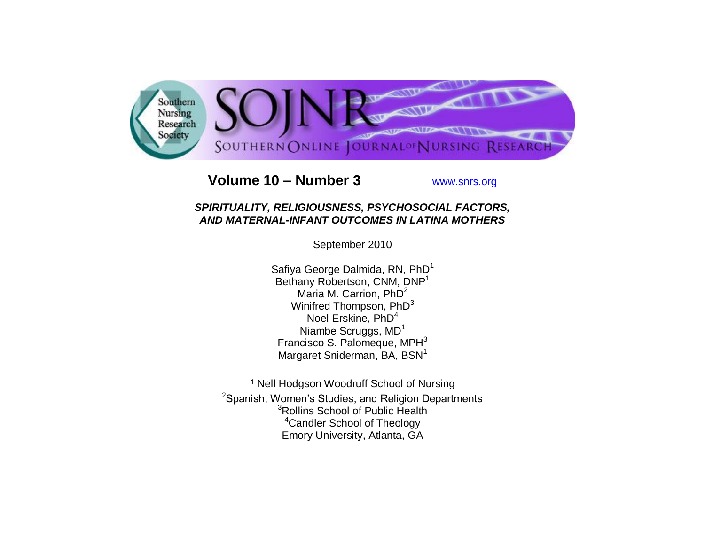

# **Volume 10 – Number 3** [www.snrs.org](http://www.snrs.org/)

# *SPIRITUALITY, RELIGIOUSNESS, PSYCHOSOCIAL FACTORS, AND MATERNAL-INFANT OUTCOMES IN LATINA MOTHERS*

September 2010

Safiya George Dalmida, RN, PhD<sup>1</sup> Bethany Robertson, CNM, DNP<sup>1</sup> Maria M. Carrion,  $PhD<sup>2</sup>$ Winifred Thompson, PhD<sup>3</sup> Noel Erskine, PhD<sup>4</sup> Niambe Scruggs, MD<sup>1</sup> Francisco S. Palomeque,  $MPH<sup>3</sup>$ Margaret Sniderman, BA, BSN<sup>1</sup>

<sup>1</sup> Nell Hodgson Woodruff School of Nursing <sup>2</sup>Spanish, Women's Studies, and Religion Departments <sup>3</sup>Rollins School of Public Health <sup>4</sup>Candler School of Theology Emory University, Atlanta, GA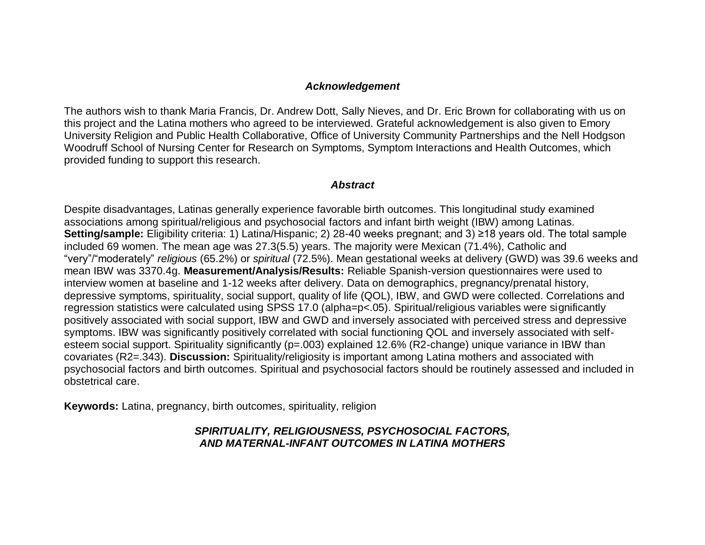#### *Acknowledgement*

The authors wish to thank Maria Francis, Dr. Andrew Dott, Sally Nieves, and Dr. Eric Brown for collaborating with us on this project and the Latina mothers who agreed to be interviewed. Grateful acknowledgement is also given to Emory University Religion and Public Health Collaborative, Office of University Community Partnerships and the Nell Hodgson Woodruff School of Nursing Center for Research on Symptoms, Symptom Interactions and Health Outcomes, which provided funding to support this research.

#### *Abstract*

Despite disadvantages, Latinas generally experience favorable birth outcomes. This longitudinal study examined associations among spiritual/religious and psychosocial factors and infant birth weight (IBW) among Latinas. **Setting/sample:** Eligibility criteria: 1) Latina/Hispanic; 2) 28-40 weeks pregnant; and 3) ≥18 years old. The total sample included 69 women. The mean age was 27.3(5.5) years. The majority were Mexican (71.4%), Catholic and "very"/"moderately" *religious* (65.2%) or *spiritual* (72.5%). Mean gestational weeks at delivery (GWD) was 39.6 weeks and mean IBW was 3370.4g. **Measurement/Analysis/Results:** Reliable Spanish-version questionnaires were used to interview women at baseline and 1-12 weeks after delivery. Data on demographics, pregnancy/prenatal history, depressive symptoms, spirituality, social support, quality of life (QOL), IBW, and GWD were collected. Correlations and regression statistics were calculated using SPSS 17.0 (alpha=p<.05). Spiritual/religious variables were significantly positively associated with social support, IBW and GWD and inversely associated with perceived stress and depressive symptoms. IBW was significantly positively correlated with social functioning QOL and inversely associated with selfesteem social support. Spirituality significantly (p=.003) explained 12.6% (R2-change) unique variance in IBW than covariates (R2=.343). **Discussion:** Spirituality/religiosity is important among Latina mothers and associated with psychosocial factors and birth outcomes. Spiritual and psychosocial factors should be routinely assessed and included in obstetrical care.

**Keywords:** Latina, pregnancy, birth outcomes, spirituality, religion

## *SPIRITUALITY, RELIGIOUSNESS, PSYCHOSOCIAL FACTORS, AND MATERNAL-INFANT OUTCOMES IN LATINA MOTHERS*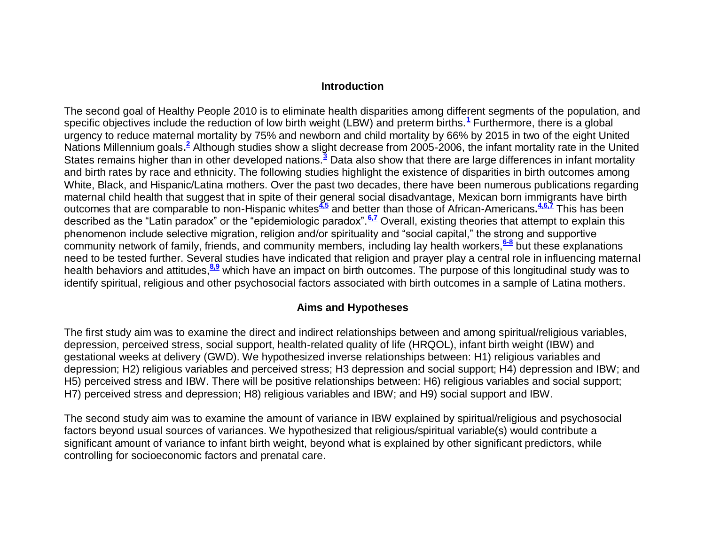#### **Introduction**

The second goal of Healthy People 2010 is to eliminate health disparities among different segments of the population, and specific objectives include the reduction of low birth weight (LBW) and preterm births[.](http://snrs.org/publications/SOJNR_articles2/n)**<sup>1</sup>** Furthermore, there is a global urgency to reduce maternal mortality by 75% and newborn and child mortality by 66% by 2015 in two of the eight United Nations Millennium goals[.](http://snrs.org/publications/SOJNR_articles2/n)<sup>2</sup> Although studies show a slight decrease from 2005-2006, the infant mortality rate in the United States remains higher than in other developed nations.**[3](http://snrs.org/publications/SOJNR_articles2/n)** Data also show that there are large differences in infant mortality and birth rates by race and ethnicity. The following studies highlight the existence of disparities in birth outcomes among White, Black, and Hispanic/Latina mothers. Over the past two decades, there have been numerous publications regarding maternal child health that suggest that in spite of their general social disadvantage, Mexican born immigrants have birth outcomes that are comparable to non-Hispanic whites**[4,5](http://snrs.org/publications/SOJNR_articles2/n)** and better than those of African-Americans**. [4,6,7](http://snrs.org/publications/SOJNR_articles2/n)** This has been described as the "Latin paradox" or the "epidemiologic paradox".**[6,7](http://snrs.org/publications/SOJNR_articles2/n)** Overall, existing theories that attempt to explain this phenomenon include selective migration, religion and/or spirituality and "social capital," the strong and supportive community network of family, friends, and community members, including lay health workers,**[6-8](http://snrs.org/publications/SOJNR_articles2/n)** but these explanations need to be tested further. Several studies have indicated that religion and prayer play a central role in influencing maternal health behaviors and attitudes,<sup>[8,9](http://snrs.org/publications/SOJNR_articles2/n)</sup> which have an impact on birth outcomes. The purpose of this longitudinal study was to identify spiritual, religious and other psychosocial factors associated with birth outcomes in a sample of Latina mothers.

#### **Aims and Hypotheses**

The first study aim was to examine the direct and indirect relationships between and among spiritual/religious variables, depression, perceived stress, social support, health-related quality of life (HRQOL), infant birth weight (IBW) and gestational weeks at delivery (GWD). We hypothesized inverse relationships between: H1) religious variables and depression; H2) religious variables and perceived stress; H3 depression and social support; H4) depression and IBW; and H5) perceived stress and IBW. There will be positive relationships between: H6) religious variables and social support; H7) perceived stress and depression; H8) religious variables and IBW; and H9) social support and IBW.

The second study aim was to examine the amount of variance in IBW explained by spiritual/religious and psychosocial factors beyond usual sources of variances. We hypothesized that religious/spiritual variable(s) would contribute a significant amount of variance to infant birth weight, beyond what is explained by other significant predictors, while controlling for socioeconomic factors and prenatal care.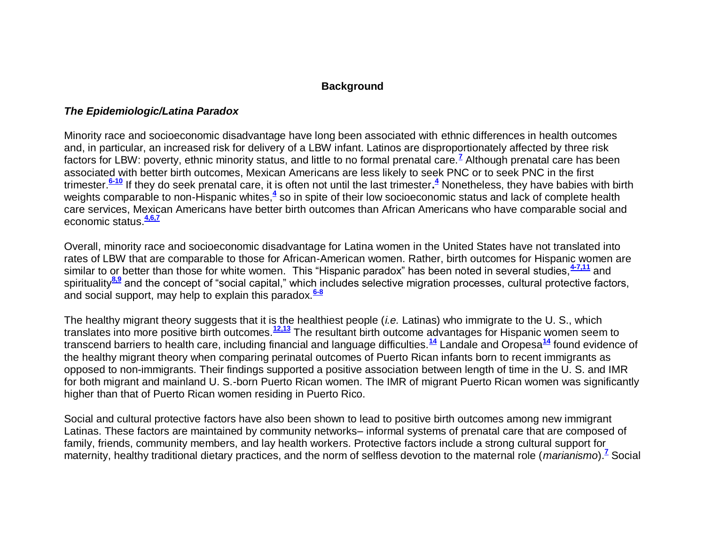## **Background**

## *The Epidemiologic/Latina Paradox*

Minority race and socioeconomic disadvantage have long been associated with ethnic differences in health outcomes and, in particular, an increased risk for delivery of a LBW infant. Latinos are disproportionately affected by three risk factors for LBW: poverty, ethnic minority status, and little to no formal prenatal care.**[7](http://snrs.org/publications/SOJNR_articles2/n)** Although prenatal care has been associated with better birth outcomes, Mexican Americans are less likely to seek PNC or to seek PNC in the first trimester.**[6-10](http://snrs.org/publications/SOJNR_articles2/n)** If they do seek prenatal care, it is often not until the last trimester**[.](http://snrs.org/publications/SOJNR_articles2/n) <sup>4</sup>** Nonetheless, they have babies with birth weights comparable to non-Hispanic whites,<sup>[4](http://snrs.org/publications/SOJNR_articles2/n)</sup> so in spite of their low socioeconomic status and lack of complete health care services, Mexican Americans have better birth outcomes than African Americans who have comparable social and economic status.**[4,6,7](http://snrs.org/publications/SOJNR_articles2/n)**

Overall, minority race and socioeconomic disadvantage for Latina women in the United States have not translated into rates of LBW that are comparable to those for African-American women. Rather, birth outcomes for Hispanic women are similar to or better than those for white women. This "Hispanic paradox" has been noted in several studies,**[4-7,11](http://snrs.org/publications/SOJNR_articles2/n)** and spirituality**[8,9](http://snrs.org/publications/SOJNR_articles2/n)** and the concept of "social capital," which includes selective migration processes, cultural protective factors, and social support, may help to explain this paradox.**[6-8](http://snrs.org/publications/SOJNR_articles2/n)**

The healthy migrant theory suggests that it is the healthiest people (*i.e.* Latinas) who immigrate to the U. S., which translates into more positive birth outcomes.**[12,13](http://snrs.org/publications/SOJNR_articles2/n)** The resultant birth outcome advantages for Hispanic women seem to transcend barriers to health care, including financial and language difficulties.**[14](http://snrs.org/publications/SOJNR_articles2/n)** Landale and Oropesa**[14](http://snrs.org/publications/SOJNR_articles2/n)** found evidence of the healthy migrant theory when comparing perinatal outcomes of Puerto Rican infants born to recent immigrants as opposed to non-immigrants. Their findings supported a positive association between length of time in the U. S. and IMR for both migrant and mainland U. S.-born Puerto Rican women. The IMR of migrant Puerto Rican women was significantly higher than that of Puerto Rican women residing in Puerto Rico.

Social and cultural protective factors have also been shown to lead to positive birth outcomes among new immigrant Latinas. These factors are maintained by community networks– informal systems of prenatal care that are composed of family, friends, community members, and lay health workers. Protective factors include a strong cultural support for maternity, healthy traditional dietary practices, and the norm of selfless devotion to the maternal role (*marianismo*).**[7](http://snrs.org/publications/SOJNR_articles2/n)** Social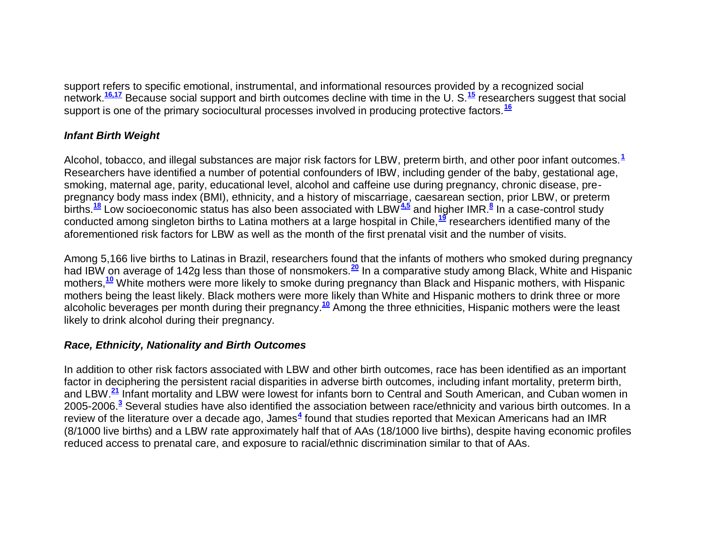support refers to specific emotional, instrumental, and informational resources provided by a recognized social network.**[16,17](http://snrs.org/publications/SOJNR_articles2/n)** Because social support and birth outcomes decline with time in the U. S.**[15](http://snrs.org/publications/SOJNR_articles2/n)** researchers suggest that social support is one of the primary sociocultural processes involved in producing protective factors.**[16](http://snrs.org/publications/SOJNR_articles2/n)**

## *Infant Birth Weight*

Alcohol, tobacco, and illegal substances are major risk factors for LBW, preterm birth, and other poor infant outcomes.**[1](http://snrs.org/publications/SOJNR_articles2/n)** Researchers have identified a number of potential confounders of IBW, including gender of the baby, gestational age, smoking, maternal age, parity, educational level, alcohol and caffeine use during pregnancy, chronic disease, prepregnancy body mass index (BMI), ethnicity, and a history of miscarriage, caesarean section, prior LBW, or preterm births.**[18](http://snrs.org/publications/SOJNR_articles2/n)** Low socioeconomic status has also been associated with LBW**[4,5](http://snrs.org/publications/SOJNR_articles2/n)** and higher IMR.**[8](http://snrs.org/publications/SOJNR_articles2/n)** In a case-control study conducted among singleton births to Latina mothers at a large hospital in Chile,**[19](http://snrs.org/publications/SOJNR_articles2/n)** researchers identified many of the aforementioned risk factors for LBW as well as the month of the first prenatal visit and the number of visits.

Among 5,166 live births to Latinas in Brazil, researchers found that the infants of mothers who smoked during pregnancy had IBW on average of 142g less than those of nonsmokers.**[20](http://snrs.org/publications/SOJNR_articles2/n)** In a comparative study among Black, White and Hispanic mothers,**[10](http://snrs.org/publications/SOJNR_articles2/n)** White mothers were more likely to smoke during pregnancy than Black and Hispanic mothers, with Hispanic mothers being the least likely. Black mothers were more likely than White and Hispanic mothers to drink three or more alcoholic beverages per month during their pregnancy.**[10](http://snrs.org/publications/SOJNR_articles2/n)** Among the three ethnicities, Hispanic mothers were the least likely to drink alcohol during their pregnancy.

## *Race, Ethnicity, Nationality and Birth Outcomes*

In addition to other risk factors associated with LBW and other birth outcomes, race has been identified as an important factor in deciphering the persistent racial disparities in adverse birth outcomes, including infant mortality, preterm birth, and LBW.**[21](http://snrs.org/publications/SOJNR_articles2/n)** Infant mortality and LBW were lowest for infants born to Central and South American, and Cuban women in 2005-2006[.](http://snrs.org/publications/SOJNR_articles2/n)**<sup>3</sup>** Several studies have also identified the association between race/ethnicity and various birth outcomes. In a review of the literature over a decade ago, James<sup>[4](http://snrs.org/publications/SOJNR_articles2/n)</sup> found that studies reported that Mexican Americans had an IMR (8/1000 live births) and a LBW rate approximately half that of AAs (18/1000 live births), despite having economic profiles reduced access to prenatal care, and exposure to racial/ethnic discrimination similar to that of AAs.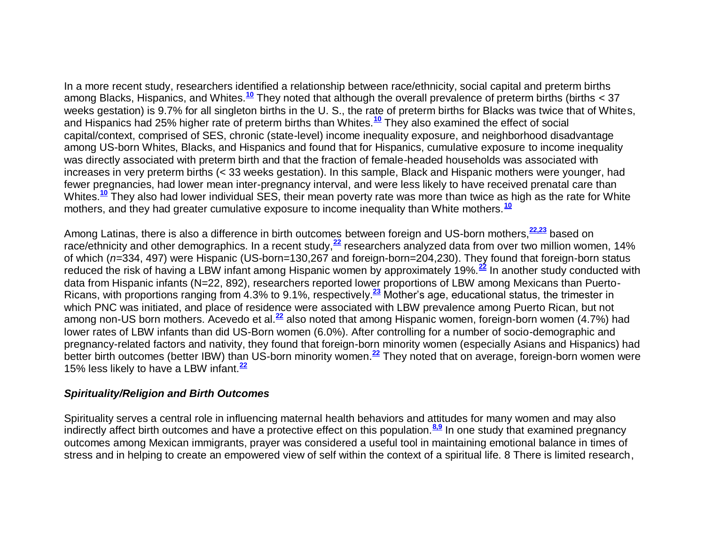In a more recent study, researchers identified a relationship between race/ethnicity, social capital and preterm births among Blacks, Hispanics, and Whites.**[10](http://snrs.org/publications/SOJNR_articles2/n)** They noted that although the overall prevalence of preterm births (births < 37 weeks gestation) is 9.7% for all singleton births in the U. S., the rate of preterm births for Blacks was twice that of Whites, and Hispanics had 25% higher rate of preterm births than Whites.**[10](http://snrs.org/publications/SOJNR_articles2/n)** They also examined the effect of social capital/context, comprised of SES, chronic (state-level) income inequality exposure, and neighborhood disadvantage among US-born Whites, Blacks, and Hispanics and found that for Hispanics, cumulative exposure to income inequality was directly associated with preterm birth and that the fraction of female-headed households was associated with increases in very preterm births (< 33 weeks gestation). In this sample, Black and Hispanic mothers were younger, had fewer pregnancies, had lower mean inter-pregnancy interval, and were less likely to have received prenatal care than Whites.**[10](http://snrs.org/publications/SOJNR_articles2/n)** They also had lower individual SES, their mean poverty rate was more than twice as high as the rate for White mothers, and they had greater cumulative exposure to income inequality than White mothers.**[10](http://snrs.org/publications/SOJNR_articles2/n)**

Among Latinas, there is also a difference in birth outcomes between foreign and US-born mothers,**[22,23](http://snrs.org/publications/SOJNR_articles2/n)** based on race/ethnicity and other demographics. In a recent study,<sup>[22](http://snrs.org/publications/SOJNR_articles2/n)</sup> researchers analyzed data from over two million women, 14% of which (*n=*334, 497) were Hispanic (US-born=130,267 and foreign-born=204,230). They found that foreign-born status reduced the risk of having a LBW infant among Hispanic women by approximately 19%.**[22](http://snrs.org/publications/SOJNR_articles2/n)** In another study conducted with data from Hispanic infants (N=22, 892), researchers reported lower proportions of LBW among Mexicans than Puerto-Ricans, with proportions ranging from 4.3% to 9.1%, respectively.**[23](http://snrs.org/publications/SOJNR_articles2/n)** Mother's age, educational status, the trimester in which PNC was initiated, and place of residence were associated with LBW prevalence among Puerto Rican, but not among non-US born mothers. Acevedo et al.**[22](http://snrs.org/publications/SOJNR_articles2/n)** also noted that among Hispanic women, foreign-born women (4.7%) had lower rates of LBW infants than did US-Born women (6.0%). After controlling for a number of socio-demographic and pregnancy-related factors and nativity, they found that foreign-born minority women (especially Asians and Hispanics) had better birth outcomes (better IBW) than US-born minority women.**[22](http://snrs.org/publications/SOJNR_articles2/n)** They noted that on average, foreign-born women were 15% less likely to have a LBW infant.**[22](http://snrs.org/publications/SOJNR_articles2/n)**

#### *Spirituality/Religion and Birth Outcomes*

Spirituality serves a central role in influencing maternal health behaviors and attitudes for many women and may also indirectly affect birth outcomes and have a protective effect on this population.**[8,9](http://snrs.org/publications/SOJNR_articles2/n)** In one study that examined pregnancy outcomes among Mexican immigrants, prayer was considered a useful tool in maintaining emotional balance in times of stress and in helping to create an empowered view of self within the context of a spiritual life. 8 There is limited research,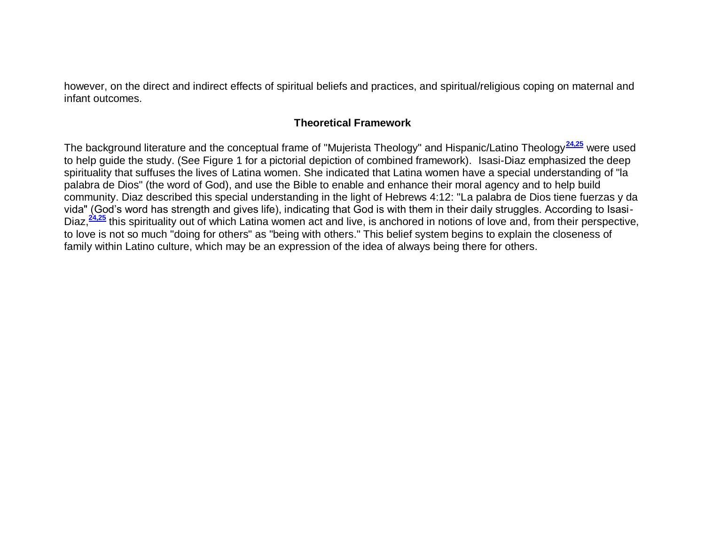however, on the direct and indirect effects of spiritual beliefs and practices, and spiritual/religious coping on maternal and infant outcomes.

## **Theoretical Framework**

The background literature and the conceptual frame of "Mujerista Theology" and Hispanic/Latino Theology**[24,25](http://snrs.org/publications/SOJNR_articles2/n)** were used to help guide the study. (See Figure 1 for a pictorial depiction of combined framework). Isasi-Diaz emphasized the deep spirituality that suffuses the lives of Latina women. She indicated that Latina women have a special understanding of "la palabra de Dios" (the word of God), and use the Bible to enable and enhance their moral agency and to help build community. Diaz described this special understanding in the light of Hebrews 4:12: "La palabra de Dios tiene fuerzas y da vida" (God's word has strength and gives life), indicating that God is with them in their daily struggles. According to Isasi-Diaz,<sup>[24,25](http://snrs.org/publications/SOJNR_articles2/n)</sup> this spirituality out of which Latina women act and live, is anchored in notions of love and, from their perspective, to love is not so much "doing for others" as "being with others." This belief system begins to explain the closeness of family within Latino culture, which may be an expression of the idea of always being there for others.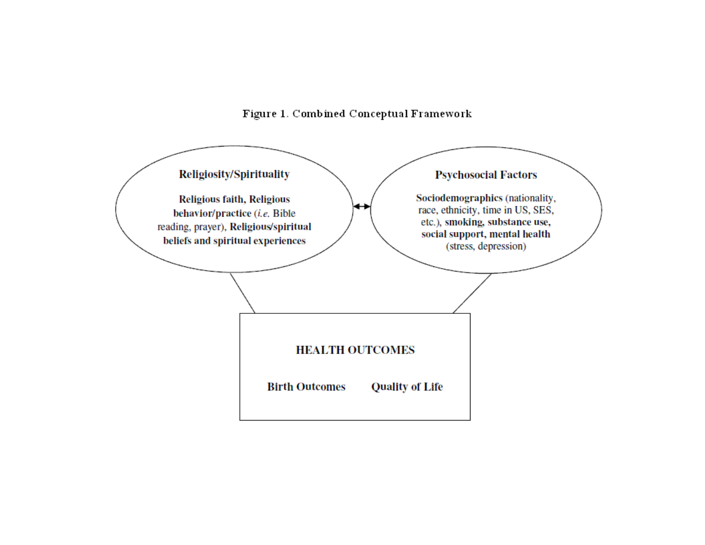Figure 1. Combined Conceptual Framework

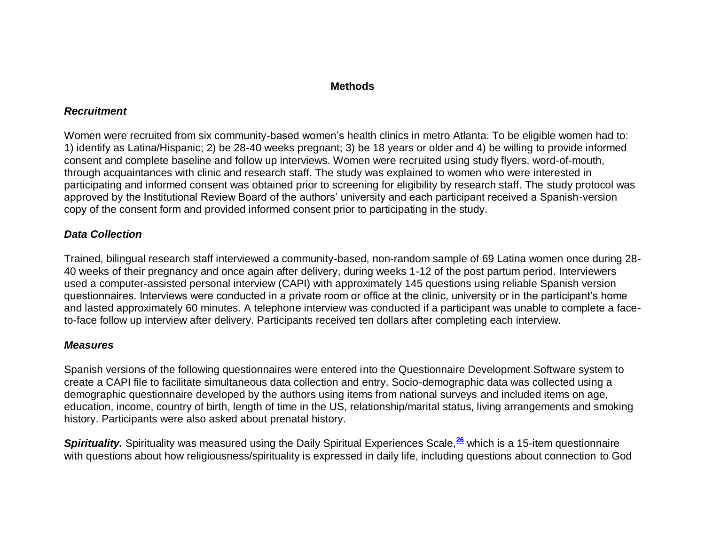#### **Methods**

## *Recruitment*

Women were recruited from six community-based women's health clinics in metro Atlanta. To be eligible women had to: 1) identify as Latina/Hispanic; 2) be 28-40 weeks pregnant; 3) be 18 years or older and 4) be willing to provide informed consent and complete baseline and follow up interviews. Women were recruited using study flyers, word-of-mouth, through acquaintances with clinic and research staff. The study was explained to women who were interested in participating and informed consent was obtained prior to screening for eligibility by research staff. The study protocol was approved by the Institutional Review Board of the authors' university and each participant received a Spanish-version copy of the consent form and provided informed consent prior to participating in the study.

# *Data Collection*

Trained, bilingual research staff interviewed a community-based, non-random sample of 69 Latina women once during 28- 40 weeks of their pregnancy and once again after delivery, during weeks 1-12 of the post partum period. Interviewers used a computer-assisted personal interview (CAPI) with approximately 145 questions using reliable Spanish version questionnaires. Interviews were conducted in a private room or office at the clinic, university or in the participant's home and lasted approximately 60 minutes. A telephone interview was conducted if a participant was unable to complete a faceto-face follow up interview after delivery. Participants received ten dollars after completing each interview.

#### *Measures*

Spanish versions of the following questionnaires were entered into the Questionnaire Development Software system to create a CAPI file to facilitate simultaneous data collection and entry. Socio-demographic data was collected using a demographic questionnaire developed by the authors using items from national surveys and included items on age, education, income, country of birth, length of time in the US, relationship/marital status, living arrangements and smoking history. Participants were also asked about prenatal history.

*Spirituality.* Spirituality was measured using the Daily Spiritual Experiences Scale,**[26](http://snrs.org/publications/SOJNR_articles2/n)** which is a 15-item questionnaire with questions about how religiousness/spirituality is expressed in daily life, including questions about connection to God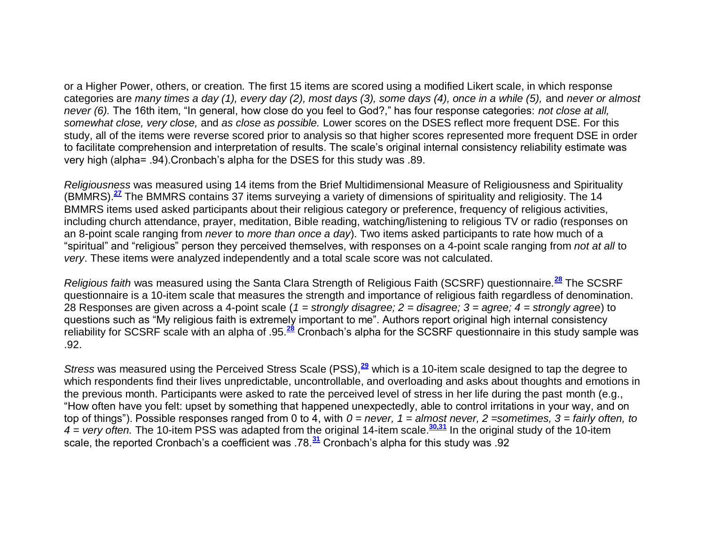or a Higher Power, others, or creation*.* The first 15 items are scored using a modified Likert scale, in which response categories are *many times a day (1), every day (2), most days (3), some days (4), once in a while (5),* and *never or almost never (6).* The 16th item, "In general, how close do you feel to God?," has four response categories: *not close at all, somewhat close, very close,* and *as close as possible.* Lower scores on the DSES reflect more frequent DSE. For this study, all of the items were reverse scored prior to analysis so that higher scores represented more frequent DSE in order to facilitate comprehension and interpretation of results. The scale's original internal consistency reliability estimate was very high (alpha= .94).Cronbach's alpha for the DSES for this study was .89.

*Religiousness* was measured using 14 items from the Brief Multidimensional Measure of Religiousness and Spirituality (BMMRS).**[27](http://snrs.org/publications/SOJNR_articles2/n)** The BMMRS contains 37 items surveying a variety of dimensions of spirituality and religiosity. The 14 BMMRS items used asked participants about their religious category or preference, frequency of religious activities, including church attendance, prayer, meditation, Bible reading, watching/listening to religious TV or radio (responses on an 8-point scale ranging from *never* to *more than once a day*). Two items asked participants to rate how much of a "spiritual" and "religious" person they perceived themselves, with responses on a 4-point scale ranging from *not at all* to *very*. These items were analyzed independently and a total scale score was not calculated.

*Religious faith* was measured using the Santa Clara Strength of Religious Faith (SCSRF) questionnaire.**[28](http://snrs.org/publications/SOJNR_articles2/n)** The SCSRF questionnaire is a 10-item scale that measures the strength and importance of religious faith regardless of denomination. 28 Responses are given across a 4-point scale (*1 = strongly disagree; 2 = disagree; 3 = agree; 4 = strongly agree*) to questions such as "My religious faith is extremely important to me". Authors report original high internal consistency reliability for SCSRF scale with an alpha of .95.**[28](http://snrs.org/publications/SOJNR_articles2/n)** Cronbach's alpha for the SCSRF questionnaire in this study sample was .92.

*Stress* was measured using the Perceived Stress Scale (PSS),**[29](http://snrs.org/publications/SOJNR_articles2/n)** which is a 10-item scale designed to tap the degree to which respondents find their lives unpredictable, uncontrollable, and overloading and asks about thoughts and emotions in the previous month. Participants were asked to rate the perceived level of stress in her life during the past month (e.g., "How often have you felt: upset by something that happened unexpectedly, able to control irritations in your way, and on top of things"). Possible responses ranged from 0 to 4, with *0 = never, 1 = almost never, 2 =sometimes, 3 = fairly often, to 4 = very often.* The 10-item PSS was adapted from the original 14-item scale.**[30,31](http://snrs.org/publications/SOJNR_articles2/n)** In the original study of the 10-item scale, the reported Cronbach's a coefficient was .78.**[31](http://snrs.org/publications/SOJNR_articles2/n)** Cronbach's alpha for this study was .92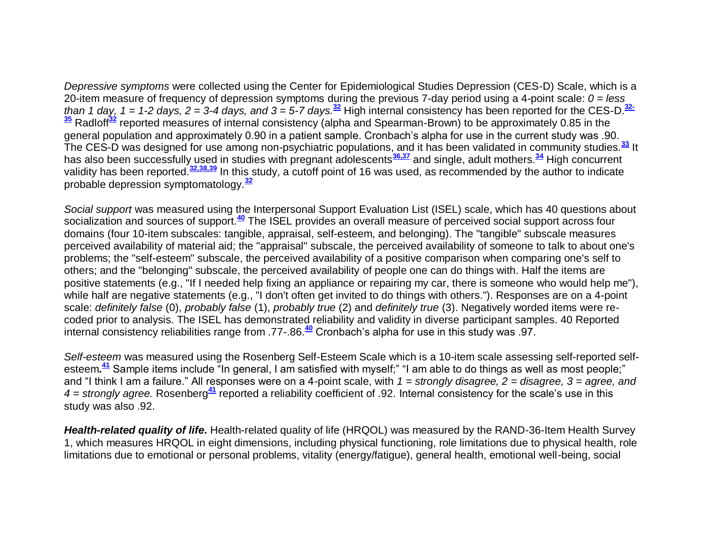*Depressive symptoms* were collected using the Center for Epidemiological Studies Depression (CES-D) Scale, which is a 20-item measure of frequency of depression symptoms during the previous 7-day period using a 4-point scale: *0 = less than 1 day, 1 = 1-2 days, 2 = 3-4 days, and 3 = 5-7 days.***[32](http://snrs.org/publications/SOJNR_articles2/n)** High internal consistency has been reported for the CES-D.**[32-](http://snrs.org/publications/SOJNR_articles2/n) [35](http://snrs.org/publications/SOJNR_articles2/n)** Radloff**[32](http://snrs.org/publications/SOJNR_articles2/n)** reported measures of internal consistency (alpha and Spearman-Brown) to be approximately 0.85 in the general population and approximately 0.90 in a patient sample. Cronbach's alpha for use in the current study was .90. The CES-D was designed for use among non-psychiatric populations, and it has been validated in community studies.**[33](http://snrs.org/publications/SOJNR_articles2/n)** It has also been successfully used in studies with pregnant adolescents<sup>[36,37](http://snrs.org/publications/SOJNR_articles2/n)</sup> and single, adult mothers.<sup>[34](http://snrs.org/publications/SOJNR_articles2/n)</sup> High concurrent validity has been reported.**[32,38,39](http://snrs.org/publications/SOJNR_articles2/n)** In this study, a cutoff point of 16 was used, as recommended by the author to indicate probable depression symptomatology.**[32](http://snrs.org/publications/SOJNR_articles2/n)**

*Social support* was measured using the Interpersonal Support Evaluation List (ISEL) scale, which has 40 questions about socialization and sources of support.**[40](http://snrs.org/publications/SOJNR_articles2/n)** The ISEL provides an overall measure of perceived social support across four domains (four 10-item subscales: tangible, appraisal, self-esteem, and belonging). The "tangible" subscale measures perceived availability of material aid; the "appraisal" subscale, the perceived availability of someone to talk to about one's problems; the "self-esteem" subscale, the perceived availability of a positive comparison when comparing one's self to others; and the "belonging" subscale, the perceived availability of people one can do things with. Half the items are positive statements (e.g., "If I needed help fixing an appliance or repairing my car, there is someone who would help me"), while half are negative statements (e.g., "I don't often get invited to do things with others."). Responses are on a 4-point scale: *definitely false* (0), *probably false* (1), *probably true* (2) and *definitely true* (3). Negatively worded items were recoded prior to analysis. The ISEL has demonstrated reliability and validity in diverse participant samples. 40 Reported internal consistency reliabilities range from .77-.86.**[40](http://snrs.org/publications/SOJNR_articles2/n)** Cronbach's alpha for use in this study was .97.

*Self-esteem* was measured using the Rosenberg Self-Esteem Scale which is a 10-item scale assessing self-reported self-esteem.<sup>[41](http://snrs.org/publications/SOJNR_articles2/n)</sup> Sample items include "In general, I am satisfied with myself;" "I am able to do things as well as most people;" and "I think I am a failure." All responses were on a 4-point scale, with *1 = strongly disagree, 2 = disagree, 3 = agree, and 4 = strongly agree.* Rosenberg**[41](http://snrs.org/publications/SOJNR_articles2/n)** reported a reliability coefficient of .92. Internal consistency for the scale's use in this study was also .92.

*Health-related quality of life***.** Health-related quality of life (HRQOL) was measured by the RAND-36-Item Health Survey 1, which measures HRQOL in eight dimensions, including physical functioning, role limitations due to physical health, role limitations due to emotional or personal problems, vitality (energy/fatigue), general health, emotional well-being, social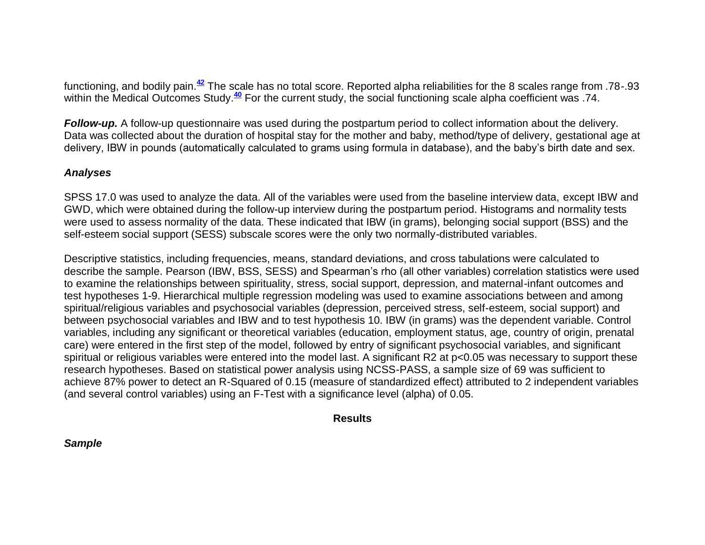functioning, and bodily pain.**[42](http://snrs.org/publications/SOJNR_articles2/n)** The scale has no total score. Reported alpha reliabilities for the 8 scales range from .78-.93 within the Medical Outcomes Study.<sup>[40](http://snrs.org/publications/SOJNR_articles2/n)</sup> For the current study, the social functioning scale alpha coefficient was .74.

*Follow-up.* A follow-up questionnaire was used during the postpartum period to collect information about the delivery. Data was collected about the duration of hospital stay for the mother and baby, method/type of delivery, gestational age at delivery, IBW in pounds (automatically calculated to grams using formula in database), and the baby's birth date and sex.

#### *Analyses*

SPSS 17.0 was used to analyze the data. All of the variables were used from the baseline interview data, except IBW and GWD, which were obtained during the follow-up interview during the postpartum period. Histograms and normality tests were used to assess normality of the data. These indicated that IBW (in grams), belonging social support (BSS) and the self-esteem social support (SESS) subscale scores were the only two normally-distributed variables.

Descriptive statistics, including frequencies, means, standard deviations, and cross tabulations were calculated to describe the sample. Pearson (IBW, BSS, SESS) and Spearman's rho (all other variables) correlation statistics were used to examine the relationships between spirituality, stress, social support, depression, and maternal-infant outcomes and test hypotheses 1-9. Hierarchical multiple regression modeling was used to examine associations between and among spiritual/religious variables and psychosocial variables (depression, perceived stress, self-esteem, social support) and between psychosocial variables and IBW and to test hypothesis 10. IBW (in grams) was the dependent variable. Control variables, including any significant or theoretical variables (education, employment status, age, country of origin, prenatal care) were entered in the first step of the model, followed by entry of significant psychosocial variables, and significant spiritual or religious variables were entered into the model last. A significant R2 at p<0.05 was necessary to support these research hypotheses. Based on statistical power analysis using NCSS-PASS, a sample size of 69 was sufficient to achieve 87% power to detect an R-Squared of 0.15 (measure of standardized effect) attributed to 2 independent variables (and several control variables) using an F-Test with a significance level (alpha) of 0.05.

#### **Results**

#### *Sample*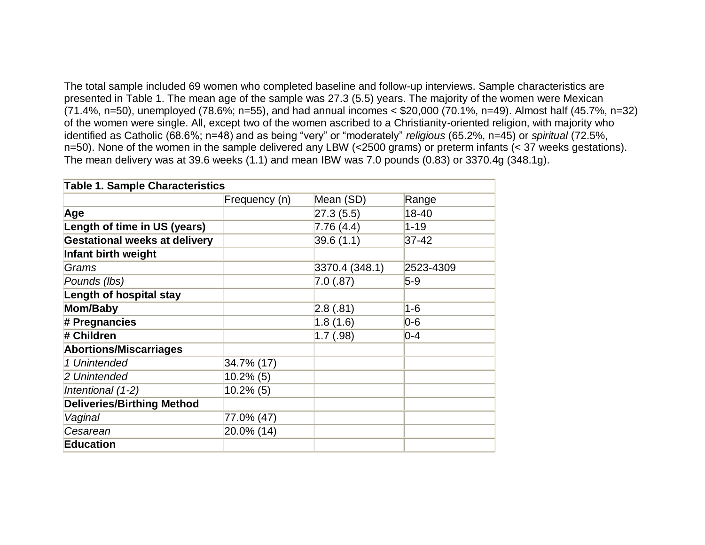The total sample included 69 women who completed baseline and follow-up interviews. Sample characteristics are presented in Table 1. The mean age of the sample was 27.3 (5.5) years. The majority of the women were Mexican (71.4%, n=50), unemployed (78.6%; n=55), and had annual incomes < \$20,000 (70.1%, n=49). Almost half (45.7%, n=32) of the women were single. All, except two of the women ascribed to a Christianity-oriented religion, with majority who identified as Catholic (68.6%; n=48) and as being "very" or "moderately" *religious* (65.2%, n=45) or *spiritual* (72.5%, n=50). None of the women in the sample delivered any LBW (<2500 grams) or preterm infants (< 37 weeks gestations). The mean delivery was at 39.6 weeks (1.1) and mean IBW was 7.0 pounds (0.83) or 3370.4g (348.1g).

| <b>Table 1. Sample Characteristics</b> |               |                 |           |
|----------------------------------------|---------------|-----------------|-----------|
|                                        | Frequency (n) | Mean (SD)       | Range     |
| Age                                    |               | 27.3(5.5)       | 18-40     |
| Length of time in US (years)           |               | 7.76 (4.4)      | $1 - 19$  |
| <b>Gestational weeks at delivery</b>   |               | 39.6(1.1)       | 37-42     |
| Infant birth weight                    |               |                 |           |
| Grams                                  |               | 3370.4 (348.1)  | 2523-4309 |
| Pounds (lbs)                           |               | $7.0$ $(.87)$   | $5-9$     |
| Length of hospital stay                |               |                 |           |
| Mom/Baby                               |               | $ 2.8 \; (.81)$ | $1 - 6$   |
| # Pregnancies                          |               | 1.8(1.6)        | $0-6$     |
| # Children                             |               | 1.7(.98)        | $0 - 4$   |
| <b>Abortions/Miscarriages</b>          |               |                 |           |
| 1 Unintended                           | 34.7% (17)    |                 |           |
| 2 Unintended                           | $10.2\%$ (5)  |                 |           |
| Intentional (1-2)                      | $10.2\%$ (5)  |                 |           |
| <b>Deliveries/Birthing Method</b>      |               |                 |           |
| Vaginal                                | 77.0% (47)    |                 |           |
| Cesarean                               | 20.0% (14)    |                 |           |
| <b>Education</b>                       |               |                 |           |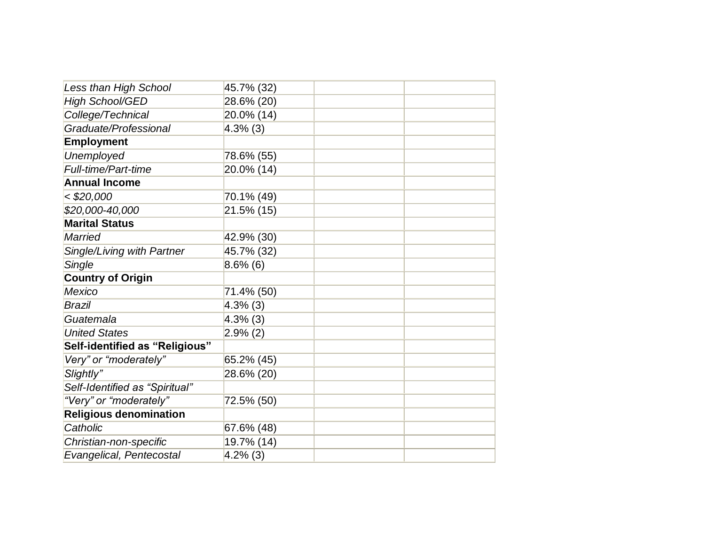| Less than High School             | 45.7% (32)  |  |
|-----------------------------------|-------------|--|
| <b>High School/GED</b>            | 28.6% (20)  |  |
| College/Technical                 | 20.0% (14)  |  |
| Graduate/Professional             | $4.3\%$ (3) |  |
| <b>Employment</b>                 |             |  |
| <b>Unemployed</b>                 | 78.6% (55)  |  |
| <b>Full-time/Part-time</b>        | 20.0% (14)  |  |
| <b>Annual Income</b>              |             |  |
| $<$ \$20,000                      | 70.1% (49)  |  |
| \$20,000-40,000                   | 21.5% (15)  |  |
| <b>Marital Status</b>             |             |  |
| <b>Married</b>                    | 42.9% (30)  |  |
| <b>Single/Living with Partner</b> | 45.7% (32)  |  |
| Single                            | $8.6\%$ (6) |  |
| <b>Country of Origin</b>          |             |  |
| <b>Mexico</b>                     | 71.4% (50)  |  |
| <b>Brazil</b>                     | $4.3\%$ (3) |  |
| Guatemala                         | $4.3\%$ (3) |  |
| <b>United States</b>              | $2.9\%$ (2) |  |
| Self-identified as "Religious"    |             |  |
| Very" or "moderately"             | 65.2% (45)  |  |
| Slightly"                         | 28.6% (20)  |  |
| Self-Identified as "Spiritual"    |             |  |
| "Very" or "moderately"            | 72.5% (50)  |  |
| <b>Religious denomination</b>     |             |  |
| Catholic                          | 67.6% (48)  |  |
| Christian-non-specific            | 19.7% (14)  |  |
| Evangelical, Pentecostal          | $4.2\%$ (3) |  |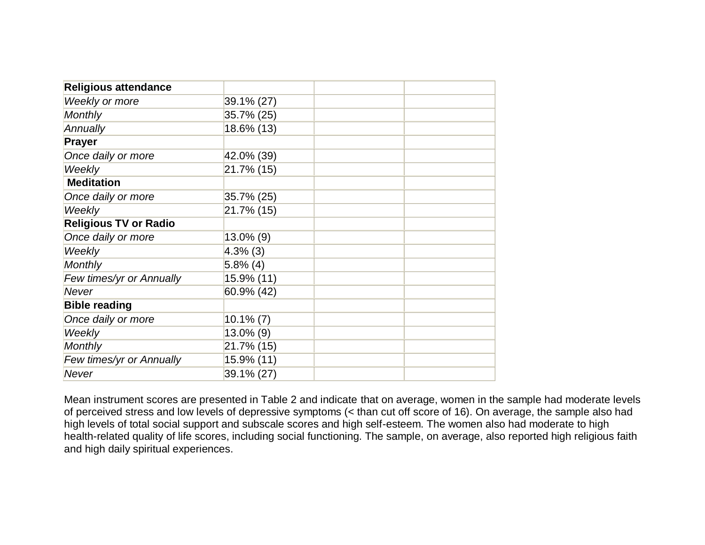| <b>Religious attendance</b>  |              |  |
|------------------------------|--------------|--|
| Weekly or more               | 39.1% (27)   |  |
| <b>Monthly</b>               | 35.7% (25)   |  |
| Annually                     | 18.6% (13)   |  |
| <b>Prayer</b>                |              |  |
| Once daily or more           | 42.0% (39)   |  |
| Weekly                       | 21.7% (15)   |  |
| <b>Meditation</b>            |              |  |
| Once daily or more           | 35.7% (25)   |  |
| Weekly                       | 21.7% (15)   |  |
| <b>Religious TV or Radio</b> |              |  |
| Once daily or more           | 13.0% (9)    |  |
| Weekly                       | $4.3\%$ (3)  |  |
| <b>Monthly</b>               | $5.8\%$ (4)  |  |
| Few times/yr or Annually     | 15.9% (11)   |  |
| Never                        | 60.9% (42)   |  |
| <b>Bible reading</b>         |              |  |
| Once daily or more           | $10.1\% (7)$ |  |
| Weekly                       | 13.0% (9)    |  |
| <b>Monthly</b>               | 21.7% (15)   |  |
| Few times/yr or Annually     | 15.9% (11)   |  |
| Never                        | 39.1% (27)   |  |

Mean instrument scores are presented in Table 2 and indicate that on average, women in the sample had moderate levels of perceived stress and low levels of depressive symptoms (< than cut off score of 16). On average, the sample also had high levels of total social support and subscale scores and high self-esteem. The women also had moderate to high health-related quality of life scores, including social functioning. The sample, on average, also reported high religious faith and high daily spiritual experiences.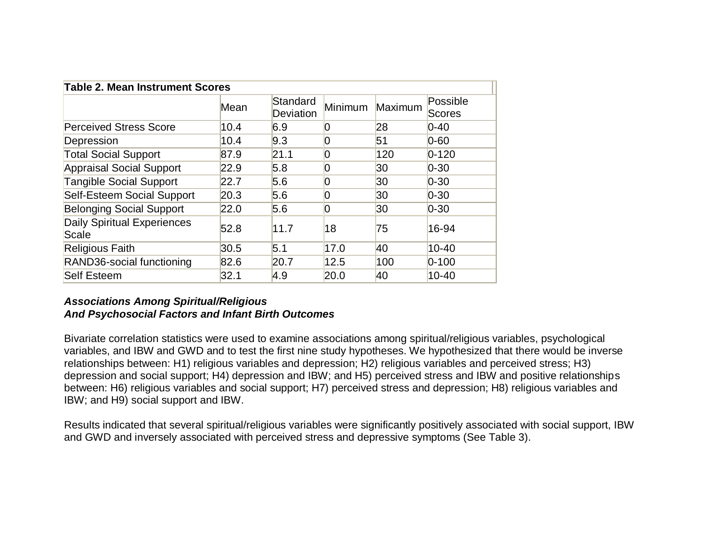|                                             | <b>Table 2. Mean Instrument Scores</b> |                       |                |         |                    |
|---------------------------------------------|----------------------------------------|-----------------------|----------------|---------|--------------------|
|                                             | Mean                                   | Standard<br>Deviation | Minimum        | Maximum | Possible<br>Scores |
| <b>Perceived Stress Score</b>               | 10.4                                   | 6.9                   | O              | 28      | $ 0 - 40 $         |
| Depression                                  | 10.4                                   | 9.3                   | 0              | 51      | $0 - 60$           |
| <b>Total Social Support</b>                 | 87.9                                   | 21.1                  | 0              | 120     | $0 - 120$          |
| <b>Appraisal Social Support</b>             | 22.9                                   | 5.8                   | 0              | 30      | $ 0-30 $           |
| <b>Tangible Social Support</b>              | 22.7                                   | 5.6                   | 0              | 30      | $0 - 30$           |
| <b>Self-Esteem Social Support</b>           | 20.3                                   | 5.6                   | 0              | 30      | $ 0-30 $           |
| <b>Belonging Social Support</b>             | 22.0                                   | 5.6                   | $\overline{0}$ | 30      | $ 0-30 $           |
| <b>Daily Spiritual Experiences</b><br>Scale | 52.8                                   | 11.7                  | 18             | 75      | 16-94              |
| <b>Religious Faith</b>                      | 30.5                                   | 5.1                   | 17.0           | 40      | $10 - 40$          |
| RAND36-social functioning                   | 82.6                                   | 20.7                  | 12.5           | 100     | $0 - 100$          |
| <b>Self Esteem</b>                          | 32.1                                   | 4.9                   | 20.0           | 40      | $10 - 40$          |

# *Associations Among Spiritual/Religious And Psychosocial Factors and Infant Birth Outcomes*

Bivariate correlation statistics were used to examine associations among spiritual/religious variables, psychological variables, and IBW and GWD and to test the first nine study hypotheses. We hypothesized that there would be inverse relationships between: H1) religious variables and depression; H2) religious variables and perceived stress; H3) depression and social support; H4) depression and IBW; and H5) perceived stress and IBW and positive relationships between: H6) religious variables and social support; H7) perceived stress and depression; H8) religious variables and IBW; and H9) social support and IBW.

Results indicated that several spiritual/religious variables were significantly positively associated with social support, IBW and GWD and inversely associated with perceived stress and depressive symptoms (See Table 3).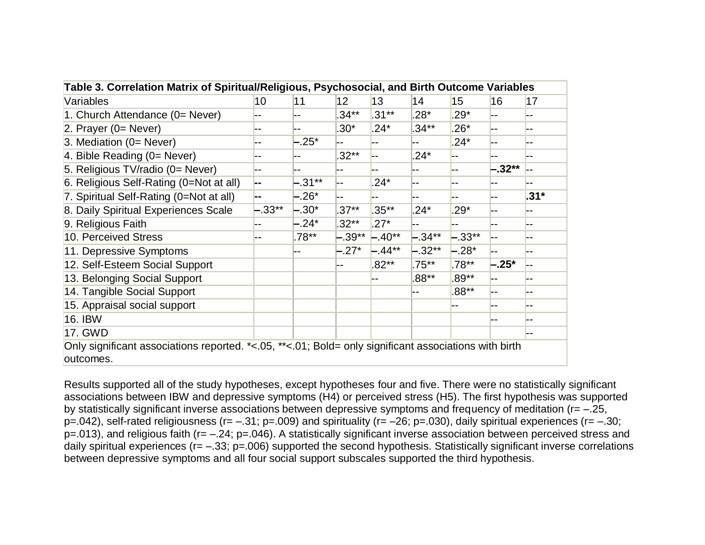| Table 3. Correlation Matrix of Spiritual/Religious, Psychosocial, and Birth Outcome Variables                      |          |           |          |          |           |          |            |        |
|--------------------------------------------------------------------------------------------------------------------|----------|-----------|----------|----------|-----------|----------|------------|--------|
| Variables                                                                                                          | 10       | 11        | 12       | 13       | 14        | 15       | 16         | 17     |
| 1. Church Attendance (0= Never)                                                                                    |          |           | $34**$   | $.31***$ | $28*$     | $.29*$   | --         |        |
| 2. Prayer $(0=$ Never)                                                                                             |          |           | $.30*$   | $.24*$   | $.34**$   | $.26*$   | <b> --</b> |        |
| 3. Mediation $(0=$ Never)                                                                                          |          | $-.25*$   |          | --       | --        | $.24*$   | $- -$      |        |
| 4. Bible Reading $(0=$ Never)                                                                                      |          |           | $.32**$  |          | $.24*$    | --       |            |        |
| 5. Religious TV/radio (0= Never)                                                                                   |          |           |          |          | --        | --       | $-.32**$   |        |
| 6. Religious Self-Rating (0=Not at all)                                                                            |          | $-.31***$ |          | $.24*$   | --        | --       | --         |        |
| 7. Spiritual Self-Rating (0=Not at all)                                                                            |          | $-.26*$   |          |          |           |          |            | $.31*$ |
| 8. Daily Spiritual Experiences Scale                                                                               | $-.33**$ | $-.30*$   | $.37**$  | $.35***$ | $.24*$    | $29*$    | --         |        |
| 9. Religious Faith                                                                                                 |          | $-.24*$   | $.32**$  | $.27*$   |           |          |            |        |
| 10. Perceived Stress                                                                                               |          | $.78**$   | $-.39**$ | $-.40**$ | $-.34***$ | $-.33**$ | l--        |        |
| 11. Depressive Symptoms                                                                                            |          |           | $-.27*$  | $-44**$  | $-.32**$  | $-.28*$  | --         |        |
| 12. Self-Esteem Social Support                                                                                     |          |           |          | $.82**$  | $.75***$  | $.78**$  | $-.25*$    |        |
| 13. Belonging Social Support                                                                                       |          |           |          |          | $.88**$   | $.89**$  | __         |        |
| 14. Tangible Social Support                                                                                        |          |           |          |          |           | $.88**$  |            |        |
| 15. Appraisal social support                                                                                       |          |           |          |          |           |          | --         |        |
| 16. IBW                                                                                                            |          |           |          |          |           |          | --         |        |
| 17. GWD                                                                                                            |          |           |          |          |           |          |            |        |
| Only significant associations reported. *<.05, **<.01; Bold= only significant associations with birth<br>outcomes. |          |           |          |          |           |          |            |        |

Results supported all of the study hypotheses, except hypotheses four and five. There were no statistically significant associations between IBW and depressive symptoms (H4) or perceived stress (H5). The first hypothesis was supported by statistically significant inverse associations between depressive symptoms and frequency of meditation (r= –.25,  $p=042$ ), self-rated religiousness (r= -.31; p=.009) and spirituality (r= -26; p=.030), daily spiritual experiences (r= -.30; p=.013), and religious faith (r= –.24; p=.046). A statistically significant inverse association between perceived stress and daily spiritual experiences ( $r = -.33$ ;  $p = .006$ ) supported the second hypothesis. Statistically significant inverse correlations between depressive symptoms and all four social support subscales supported the third hypothesis.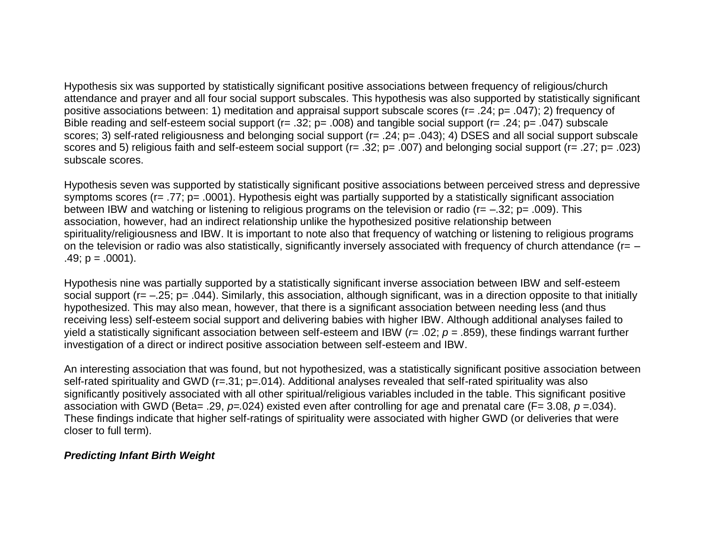Hypothesis six was supported by statistically significant positive associations between frequency of religious/church attendance and prayer and all four social support subscales. This hypothesis was also supported by statistically significant positive associations between: 1) meditation and appraisal support subscale scores (r= .24; p= .047); 2) frequency of Bible reading and self-esteem social support (r= .32; p= .008) and tangible social support (r= .24; p= .047) subscale scores; 3) self-rated religiousness and belonging social support (r= .24; p= .043); 4) DSES and all social support subscale scores and 5) religious faith and self-esteem social support (r= .32; p= .007) and belonging social support (r= .27; p= .023) subscale scores.

Hypothesis seven was supported by statistically significant positive associations between perceived stress and depressive symptoms scores (r= .77; p= .0001). Hypothesis eight was partially supported by a statistically significant association between IBW and watching or listening to religious programs on the television or radio (r= –.32; p= .009). This association, however, had an indirect relationship unlike the hypothesized positive relationship between spirituality/religiousness and IBW. It is important to note also that frequency of watching or listening to religious programs on the television or radio was also statistically, significantly inversely associated with frequency of church attendance (r= –  $.49$ ;  $p = .0001$ ).

Hypothesis nine was partially supported by a statistically significant inverse association between IBW and self-esteem social support (r= -.25; p= .044). Similarly, this association, although significant, was in a direction opposite to that initially hypothesized. This may also mean, however, that there is a significant association between needing less (and thus receiving less) self-esteem social support and delivering babies with higher IBW. Although additional analyses failed to yield a statistically significant association between self-esteem and IBW (*r*= .02; *p* = .859), these findings warrant further investigation of a direct or indirect positive association between self-esteem and IBW.

An interesting association that was found, but not hypothesized, was a statistically significant positive association between self-rated spirituality and GWD (r=.31; p=.014). Additional analyses revealed that self-rated spirituality was also significantly positively associated with all other spiritual/religious variables included in the table. This significant positive association with GWD (Beta= .29, *p=.*024) existed even after controlling for age and prenatal care (F= 3.08, *p* =.034). These findings indicate that higher self-ratings of spirituality were associated with higher GWD (or deliveries that were closer to full term).

## *Predicting Infant Birth Weight*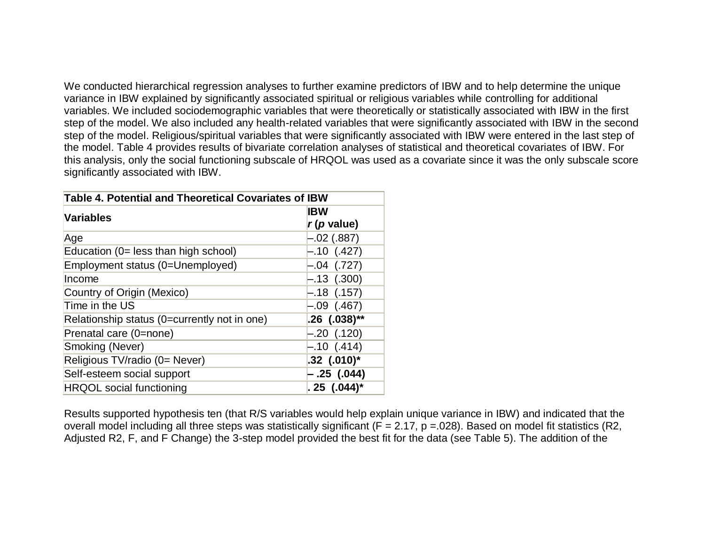We conducted hierarchical regression analyses to further examine predictors of IBW and to help determine the unique variance in IBW explained by significantly associated spiritual or religious variables while controlling for additional variables. We included sociodemographic variables that were theoretically or statistically associated with IBW in the first step of the model. We also included any health-related variables that were significantly associated with IBW in the second step of the model. Religious/spiritual variables that were significantly associated with IBW were entered in the last step of the model. Table 4 provides results of bivariate correlation analyses of statistical and theoretical covariates of IBW. For this analysis, only the social functioning subscale of HRQOL was used as a covariate since it was the only subscale score significantly associated with IBW.

| Table 4. Potential and Theoretical Covariates of IBW |                           |  |  |
|------------------------------------------------------|---------------------------|--|--|
| <b>Variables</b>                                     | <b>IBW</b>                |  |  |
|                                                      | $r(p \text{ value})$      |  |  |
| Age                                                  | $-.02$ (.887)             |  |  |
| Education (0= less than high school)                 | $-.10$ (.427)             |  |  |
| Employment status (0=Unemployed)                     | $-.04$ (.727)             |  |  |
| Income                                               | $-.13$ (.300)             |  |  |
| Country of Origin (Mexico)                           | $-.18$ (.157)             |  |  |
| Time in the US                                       | $-.09$ (.467)             |  |  |
| Relationship status (0=currently not in one)         | $.26$ (.038)**            |  |  |
| Prenatal care (0=none)                               | $-.20$ (.120)             |  |  |
| Smoking (Never)                                      | $-.10$ (.414)             |  |  |
| Religious TV/radio (0= Never)                        | $.32$ $(.010)^*$          |  |  |
| Self-esteem social support                           | – .25 (.044)              |  |  |
| <b>HRQOL</b> social functioning                      | $.25$ (.044) <sup>*</sup> |  |  |

Results supported hypothesis ten (that R/S variables would help explain unique variance in IBW) and indicated that the overall model including all three steps was statistically significant ( $F = 2.17$ ,  $p = 0.028$ ). Based on model fit statistics (R2, Adjusted R2, F, and F Change) the 3-step model provided the best fit for the data (see Table 5). The addition of the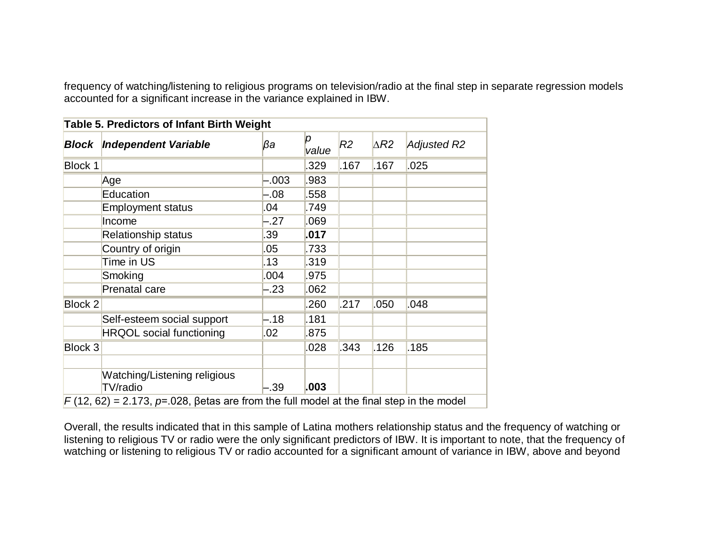frequency of watching/listening to religious programs on television/radio at the final step in separate regression models accounted for a significant increase in the variance explained in IBW.

| Block   | Independent Variable            | βa      | p<br>value | R <sub>2</sub> | $\triangle R2$ | <b>Adjusted R2</b> |
|---------|---------------------------------|---------|------------|----------------|----------------|--------------------|
| Block 1 |                                 |         | 329        | .167           | .167           | .025               |
|         | Age                             | .003    | .983       |                |                |                    |
|         | Education                       | -.08    | 558        |                |                |                    |
|         | <b>Employment status</b>        | .04     | .749       |                |                |                    |
|         | Income                          | $-27$   | .069       |                |                |                    |
|         | <b>Relationship status</b>      | .39     | .017       |                |                |                    |
|         | Country of origin               | .05     | .733       |                |                |                    |
|         | Time in US                      | .13     | .319       |                |                |                    |
|         | Smoking                         | .004    | .975       |                |                |                    |
|         | <b>Prenatal care</b>            | -.23    | .062       |                |                |                    |
| Block 2 |                                 |         | .260       | .217           | .050           | .048               |
|         | Self-esteem social support      | $-.18$  | .181       |                |                |                    |
|         | <b>HRQOL</b> social functioning | .02     | .875       |                |                |                    |
| Block 3 |                                 |         | .028       | .343           | .126           | .185               |
|         |                                 |         |            |                |                |                    |
|         | Watching/Listening religious    |         |            |                |                |                    |
|         | TV/radio                        | $-0.39$ | .003       |                |                |                    |

Overall, the results indicated that in this sample of Latina mothers relationship status and the frequency of watching or listening to religious TV or radio were the only significant predictors of IBW. It is important to note, that the frequency of watching or listening to religious TV or radio accounted for a significant amount of variance in IBW, above and beyond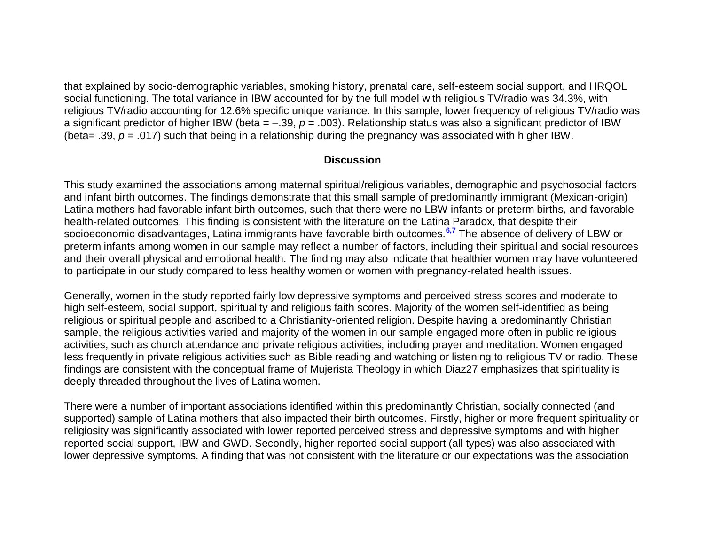that explained by socio-demographic variables, smoking history, prenatal care, self-esteem social support, and HRQOL social functioning. The total variance in IBW accounted for by the full model with religious TV/radio was 34.3%, with religious TV/radio accounting for 12.6% specific unique variance. In this sample, lower frequency of religious TV/radio was a significant predictor of higher IBW (beta  $= -.39$ ,  $p = .003$ ). Relationship status was also a significant predictor of IBW (beta= .39, *p* = .017) such that being in a relationship during the pregnancy was associated with higher IBW.

#### **Discussion**

This study examined the associations among maternal spiritual/religious variables, demographic and psychosocial factors and infant birth outcomes. The findings demonstrate that this small sample of predominantly immigrant (Mexican-origin) Latina mothers had favorable infant birth outcomes, such that there were no LBW infants or preterm births, and favorable health-related outcomes. This finding is consistent with the literature on the Latina Paradox, that despite their socioeconomic disadvantages, Latina immigrants have favorable birth outcomes.**[6,7](http://snrs.org/publications/SOJNR_articles2/n)** The absence of delivery of LBW or preterm infants among women in our sample may reflect a number of factors, including their spiritual and social resources and their overall physical and emotional health. The finding may also indicate that healthier women may have volunteered to participate in our study compared to less healthy women or women with pregnancy-related health issues.

Generally, women in the study reported fairly low depressive symptoms and perceived stress scores and moderate to high self-esteem, social support, spirituality and religious faith scores. Majority of the women self-identified as being religious or spiritual people and ascribed to a Christianity-oriented religion. Despite having a predominantly Christian sample, the religious activities varied and majority of the women in our sample engaged more often in public religious activities, such as church attendance and private religious activities, including prayer and meditation. Women engaged less frequently in private religious activities such as Bible reading and watching or listening to religious TV or radio. These findings are consistent with the conceptual frame of Mujerista Theology in which Diaz27 emphasizes that spirituality is deeply threaded throughout the lives of Latina women.

There were a number of important associations identified within this predominantly Christian, socially connected (and supported) sample of Latina mothers that also impacted their birth outcomes. Firstly, higher or more frequent spirituality or religiosity was significantly associated with lower reported perceived stress and depressive symptoms and with higher reported social support, IBW and GWD. Secondly, higher reported social support (all types) was also associated with lower depressive symptoms. A finding that was not consistent with the literature or our expectations was the association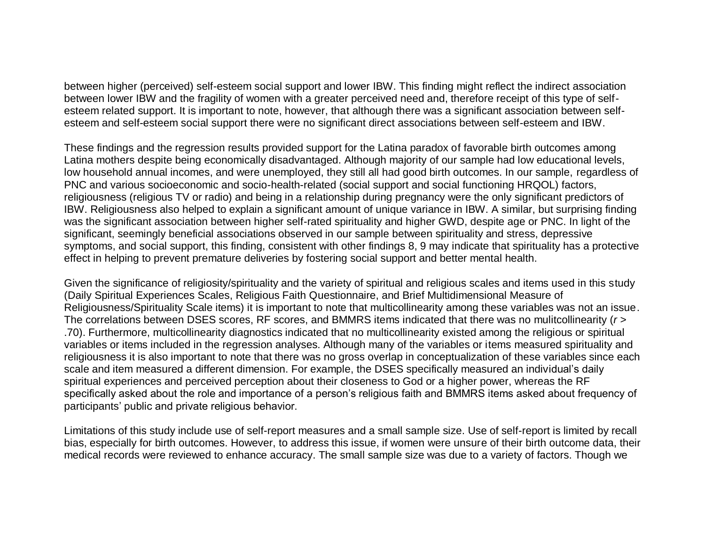between higher (perceived) self-esteem social support and lower IBW. This finding might reflect the indirect association between lower IBW and the fragility of women with a greater perceived need and, therefore receipt of this type of selfesteem related support. It is important to note, however, that although there was a significant association between selfesteem and self-esteem social support there were no significant direct associations between self-esteem and IBW.

These findings and the regression results provided support for the Latina paradox of favorable birth outcomes among Latina mothers despite being economically disadvantaged. Although majority of our sample had low educational levels, low household annual incomes, and were unemployed, they still all had good birth outcomes. In our sample, regardless of PNC and various socioeconomic and socio-health-related (social support and social functioning HRQOL) factors, religiousness (religious TV or radio) and being in a relationship during pregnancy were the only significant predictors of IBW. Religiousness also helped to explain a significant amount of unique variance in IBW. A similar, but surprising finding was the significant association between higher self-rated spirituality and higher GWD, despite age or PNC. In light of the significant, seemingly beneficial associations observed in our sample between spirituality and stress, depressive symptoms, and social support, this finding, consistent with other findings 8, 9 may indicate that spirituality has a protective effect in helping to prevent premature deliveries by fostering social support and better mental health.

Given the significance of religiosity/spirituality and the variety of spiritual and religious scales and items used in this study (Daily Spiritual Experiences Scales, Religious Faith Questionnaire, and Brief Multidimensional Measure of Religiousness/Spirituality Scale items) it is important to note that multicollinearity among these variables was not an issue. The correlations between DSES scores, RF scores, and BMMRS items indicated that there was no mulitcollinearity (*r* > .70). Furthermore, multicollinearity diagnostics indicated that no multicollinearity existed among the religious or spiritual variables or items included in the regression analyses. Although many of the variables or items measured spirituality and religiousness it is also important to note that there was no gross overlap in conceptualization of these variables since each scale and item measured a different dimension. For example, the DSES specifically measured an individual's daily spiritual experiences and perceived perception about their closeness to God or a higher power, whereas the RF specifically asked about the role and importance of a person's religious faith and BMMRS items asked about frequency of participants' public and private religious behavior.

Limitations of this study include use of self-report measures and a small sample size. Use of self-report is limited by recall bias, especially for birth outcomes. However, to address this issue, if women were unsure of their birth outcome data, their medical records were reviewed to enhance accuracy. The small sample size was due to a variety of factors. Though we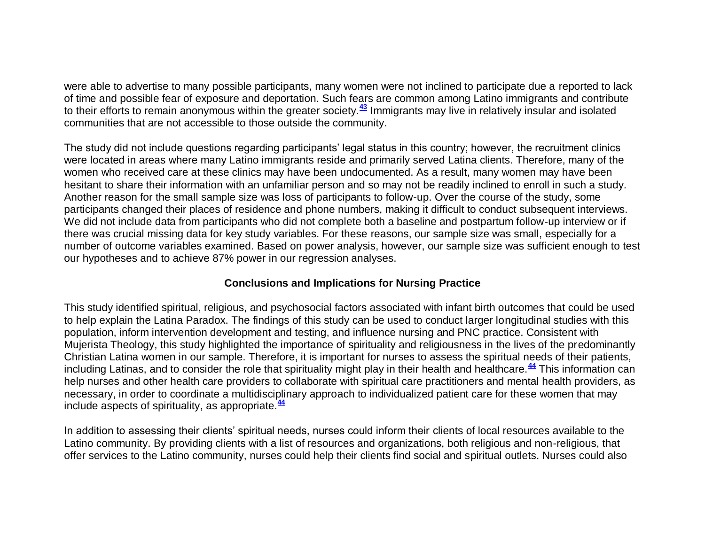were able to advertise to many possible participants, many women were not inclined to participate due a reported to lack of time and possible fear of exposure and deportation. Such fears are common among Latino immigrants and contribute to their efforts to remain anonymous within the greater society.**[43](http://snrs.org/publications/SOJNR_articles2/n)** Immigrants may live in relatively insular and isolated communities that are not accessible to those outside the community.

The study did not include questions regarding participants' legal status in this country; however, the recruitment clinics were located in areas where many Latino immigrants reside and primarily served Latina clients. Therefore, many of the women who received care at these clinics may have been undocumented. As a result, many women may have been hesitant to share their information with an unfamiliar person and so may not be readily inclined to enroll in such a study. Another reason for the small sample size was loss of participants to follow-up. Over the course of the study, some participants changed their places of residence and phone numbers, making it difficult to conduct subsequent interviews. We did not include data from participants who did not complete both a baseline and postpartum follow-up interview or if there was crucial missing data for key study variables. For these reasons, our sample size was small, especially for a number of outcome variables examined. Based on power analysis, however, our sample size was sufficient enough to test our hypotheses and to achieve 87% power in our regression analyses.

#### **Conclusions and Implications for Nursing Practice**

This study identified spiritual, religious, and psychosocial factors associated with infant birth outcomes that could be used to help explain the Latina Paradox. The findings of this study can be used to conduct larger longitudinal studies with this population, inform intervention development and testing, and influence nursing and PNC practice. Consistent with Mujerista Theology, this study highlighted the importance of spirituality and religiousness in the lives of the predominantly Christian Latina women in our sample. Therefore, it is important for nurses to assess the spiritual needs of their patients, including Latinas, and to consider the role that spirituality might play in their health and healthcare.**[44](http://snrs.org/publications/SOJNR_articles2/n)** This information can help nurses and other health care providers to collaborate with spiritual care practitioners and mental health providers, as necessary, in order to coordinate a multidisciplinary approach to individualized patient care for these women that may include aspects of spirituality, as appropriate.**[44](http://snrs.org/publications/SOJNR_articles2/n)**

In addition to assessing their clients' spiritual needs, nurses could inform their clients of local resources available to the Latino community. By providing clients with a list of resources and organizations, both religious and non-religious, that offer services to the Latino community, nurses could help their clients find social and spiritual outlets. Nurses could also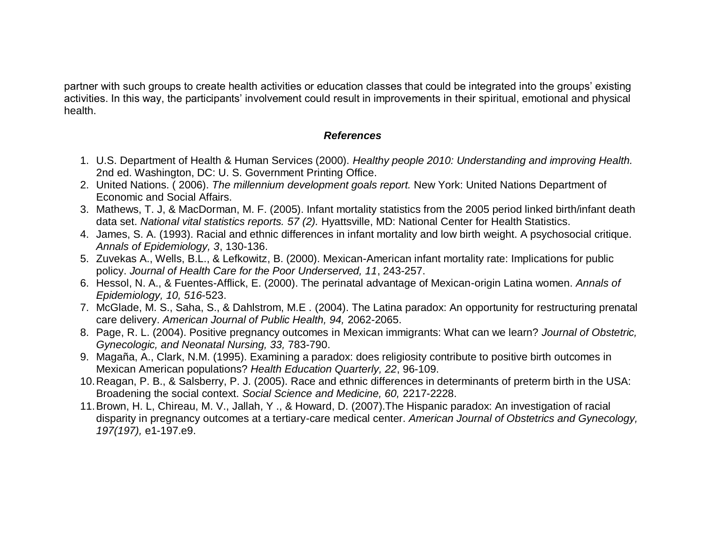partner with such groups to create health activities or education classes that could be integrated into the groups' existing activities. In this way, the participants' involvement could result in improvements in their spiritual, emotional and physical health.

#### *References*

- 1. U.S. Department of Health & Human Services (2000). *Healthy people 2010: Understanding and improving Health.*  2nd ed. Washington, DC: U. S. Government Printing Office.
- 2. United Nations. ( 2006). *The millennium development goals report.* New York: United Nations Department of Economic and Social Affairs.
- 3. Mathews, T. J, & MacDorman, M. F. (2005). Infant mortality statistics from the 2005 period linked birth/infant death data set. *National vital statistics reports. 57 (2).* Hyattsville, MD: National Center for Health Statistics.
- 4. James, S. A. (1993). Racial and ethnic differences in infant mortality and low birth weight. A psychosocial critique. *Annals of Epidemiology, 3*, 130-136.
- 5. Zuvekas A., Wells, B.L., & Lefkowitz, B. (2000). Mexican-American infant mortality rate: Implications for public policy. *Journal of Health Care for the Poor Underserved, 11*, 243-257.
- 6. Hessol, N. A., & Fuentes-Afflick, E. (2000). The perinatal advantage of Mexican-origin Latina women. *Annals of Epidemiology, 10, 516*-523.
- 7. McGlade, M. S., Saha, S., & Dahlstrom, M.E . (2004). The Latina paradox: An opportunity for restructuring prenatal care delivery. *American Journal of Public Health, 94,* 2062-2065.
- 8. Page, R. L. (2004). Positive pregnancy outcomes in Mexican immigrants: What can we learn? *Journal of Obstetric, Gynecologic, and Neonatal Nursing, 33,* 783-790.
- 9. Magaña, A., Clark, N.M. (1995). Examining a paradox: does religiosity contribute to positive birth outcomes in Mexican American populations? *Health Education Quarterly, 22*, 96-109.
- 10.Reagan, P. B., & Salsberry, P. J. (2005). Race and ethnic differences in determinants of preterm birth in the USA: Broadening the social context. *Social Science and Medicine, 60,* 2217-2228.
- 11.Brown, H. L, Chireau, M. V., Jallah, Y ., & Howard, D. (2007).The Hispanic paradox: An investigation of racial disparity in pregnancy outcomes at a tertiary-care medical center. *American Journal of Obstetrics and Gynecology, 197(197),* e1-197.e9.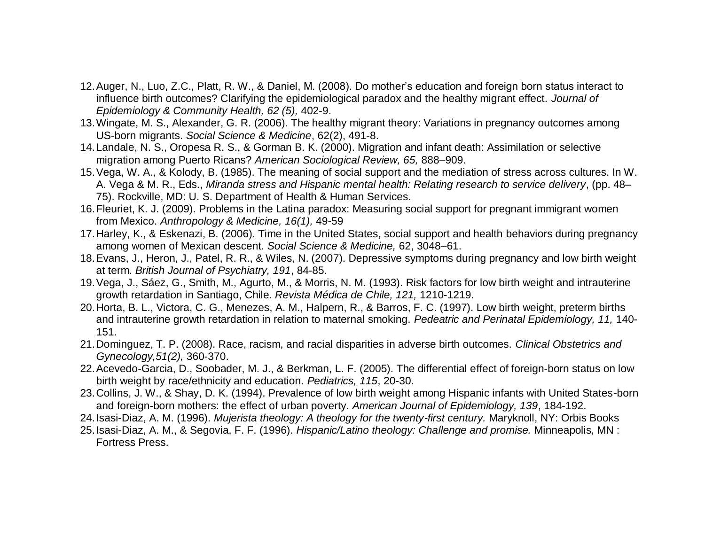- 12.Auger, N., Luo, Z.C., Platt, R. W., & Daniel, M. (2008). Do mother's education and foreign born status interact to influence birth outcomes? Clarifying the epidemiological paradox and the healthy migrant effect. *Journal of Epidemiology & Community Health, 62 (5),* 402-9.
- 13.Wingate, M. S., Alexander, G. R. (2006). The healthy migrant theory: Variations in pregnancy outcomes among US-born migrants. *Social Science & Medicine*, 62(2), 491-8.
- 14.Landale, N. S., Oropesa R. S., & Gorman B. K. (2000). Migration and infant death: Assimilation or selective migration among Puerto Ricans? *American Sociological Review, 65,* 888–909.
- 15.Vega, W. A., & Kolody, B. (1985). The meaning of social support and the mediation of stress across cultures. In W. A. Vega & M. R., Eds., *Miranda stress and Hispanic mental health: Relating research to service delivery*, (pp. 48– 75). Rockville, MD: U. S. Department of Health & Human Services.
- 16.Fleuriet, K. J. (2009). Problems in the Latina paradox: Measuring social support for pregnant immigrant women from Mexico. *Anthropology & Medicine, 16(1),* 49-59
- 17.Harley, K., & Eskenazi, B. (2006). Time in the United States, social support and health behaviors during pregnancy among women of Mexican descent. *Social Science & Medicine,* 62, 3048–61.
- 18.Evans, J., Heron, J., Patel, R. R., & Wiles, N. (2007). Depressive symptoms during pregnancy and low birth weight at term. *British Journal of Psychiatry, 191*, 84-85.
- 19.Vega, J., Sáez, G., Smith, M., Agurto, M., & Morris, N. M. (1993). Risk factors for low birth weight and intrauterine growth retardation in Santiago, Chile. *Revista Médica de Chile, 121,* 1210-1219.
- 20.Horta, B. L., Victora, C. G., Menezes, A. M., Halpern, R., & Barros, F. C. (1997). Low birth weight, preterm births and intrauterine growth retardation in relation to maternal smoking. *Pedeatric and Perinatal Epidemiology, 11,* 140- 151.
- 21.Dominguez, T. P. (2008). Race, racism, and racial disparities in adverse birth outcomes. *Clinical Obstetrics and Gynecology,51(2),* 360-370.
- 22.Acevedo-Garcia, D., Soobader, M. J., & Berkman, L. F. (2005). The differential effect of foreign-born status on low birth weight by race/ethnicity and education. *Pediatrics, 115*, 20-30.
- 23.Collins, J. W., & Shay, D. K. (1994). Prevalence of low birth weight among Hispanic infants with United States-born and foreign-born mothers: the effect of urban poverty. *American Journal of Epidemiology, 139*, 184-192.
- 24.Isasi-Diaz, A. M. (1996). *Mujerista theology: A theology for the twenty-first century.* Maryknoll, NY: Orbis Books
- 25.Isasi-Diaz, A. M., & Segovia, F. F. (1996). *Hispanic/Latino theology: Challenge and promise.* Minneapolis, MN : Fortress Press.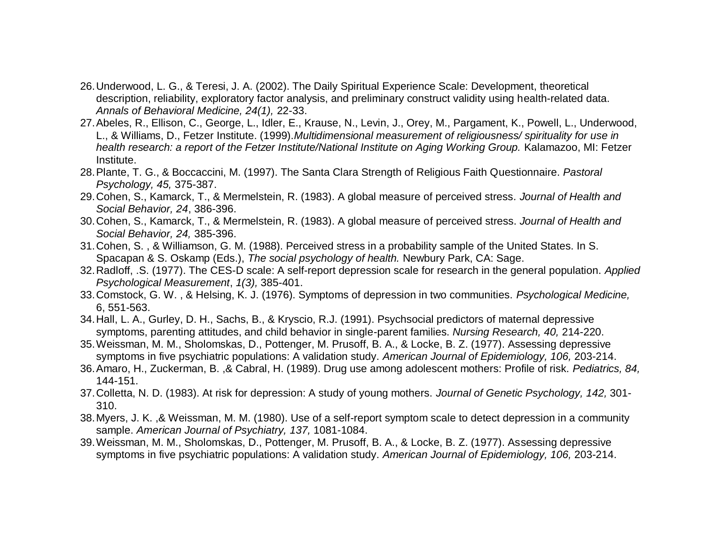- 26.Underwood, L. G., & Teresi, J. A. (2002). The Daily Spiritual Experience Scale: Development, theoretical description, reliability, exploratory factor analysis, and preliminary construct validity using health-related data. *Annals of Behavioral Medicine, 24(1),* 22-33.
- 27.Abeles, R., Ellison, C., George, L., Idler, E., Krause, N., Levin, J., Orey, M., Pargament, K., Powell, L., Underwood, L., & Williams, D., Fetzer Institute. (1999).*Multidimensional measurement of religiousness/ spirituality for use in health research: a report of the Fetzer Institute/National Institute on Aging Working Group.* Kalamazoo, MI: Fetzer Institute.
- 28.Plante, T. G., & Boccaccini, M. (1997). The Santa Clara Strength of Religious Faith Questionnaire. *Pastoral Psychology, 45,* 375-387.
- 29.Cohen, S., Kamarck, T., & Mermelstein, R. (1983). A global measure of perceived stress*. Journal of Health and Social Behavior, 24*, 386-396.
- 30.Cohen, S., Kamarck, T., & Mermelstein, R. (1983). A global measure of perceived stress. *Journal of Health and Social Behavior, 24,* 385-396.
- 31.Cohen, S. , & Williamson, G. M. (1988). Perceived stress in a probability sample of the United States. In S. Spacapan & S. Oskamp (Eds.), *The social psychology of health.* Newbury Park, CA: Sage.
- 32.Radloff, .S. (1977). The CES-D scale: A self-report depression scale for research in the general population. *Applied Psychological Measurement*, *1(3),* 385-401.
- 33.Comstock, G. W. , & Helsing, K. J. (1976). Symptoms of depression in two communities. *Psychological Medicine,*  6, 551-563.
- 34.Hall, L. A., Gurley, D. H., Sachs, B., & Kryscio, R.J. (1991). Psychsocial predictors of maternal depressive symptoms, parenting attitudes, and child behavior in single-parent families. *Nursing Research, 40,* 214-220.
- 35.Weissman, M. M., Sholomskas, D., Pottenger, M. Prusoff, B. A., & Locke, B. Z. (1977). Assessing depressive symptoms in five psychiatric populations: A validation study. *American Journal of Epidemiology, 106,* 203-214.
- 36.Amaro, H., Zuckerman, B. ,& Cabral, H. (1989). Drug use among adolescent mothers: Profile of risk. *Pediatrics, 84,* 144-151.
- 37.Colletta, N. D. (1983). At risk for depression: A study of young mothers. *Journal of Genetic Psychology, 142,* 301- 310.
- 38.Myers, J. K. ,& Weissman, M. M. (1980). Use of a self-report symptom scale to detect depression in a community sample. *American Journal of Psychiatry, 137,* 1081-1084.
- 39.Weissman, M. M., Sholomskas, D., Pottenger, M. Prusoff, B. A., & Locke, B. Z. (1977). Assessing depressive symptoms in five psychiatric populations: A validation study. *American Journal of Epidemiology, 106,* 203-214.